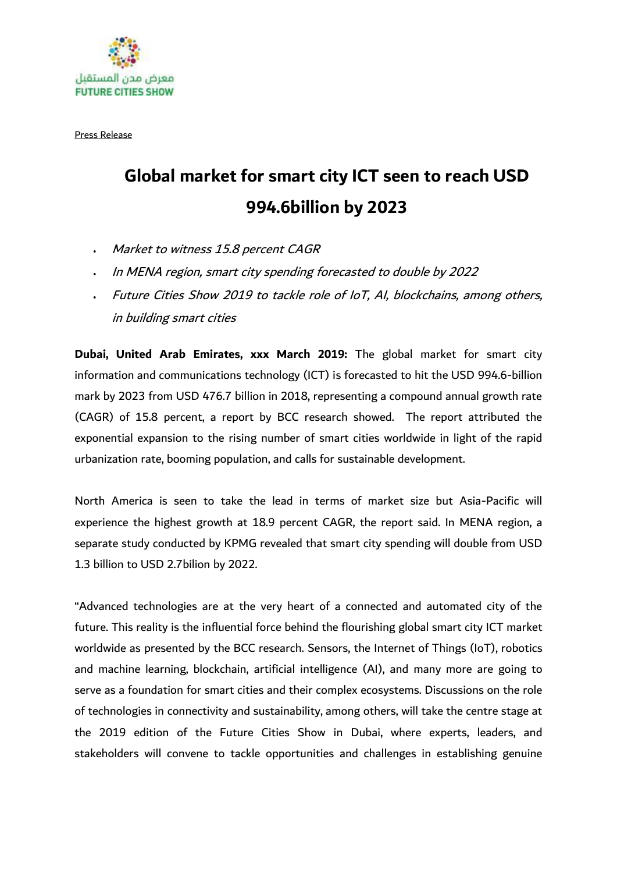

Press Release

## **Global market for smart city ICT seen to reach USD 994.6billion by 2023**

- Market to witness 15.8 percent CAGR
- In MENA region, smart city spending forecasted to double by 2022
- Future Cities Show 2019 to tackle role of IoT, AI, blockchains, among others, in building smart cities

**Dubai, United Arab Emirates, xxx March 2019:** The global market for smart city information and communications technology (ICT) is forecasted to hit the USD 994.6-billion mark by 2023 from USD 476.7 billion in 2018, representing a compound annual growth rate (CAGR) of 15.8 percent, a report by BCC research showed. The report attributed the exponential expansion to the rising number of smart cities worldwide in light of the rapid urbanization rate, booming population, and calls for sustainable development.

North America is seen to take the lead in terms of market size but Asia-Pacific will experience the highest growth at 18.9 percent CAGR, the report said. In MENA region, a separate study conducted by KPMG revealed that smart city spending will double from USD 1.3 billion to USD 2.7bilion by 2022.

"Advanced technologies are at the very heart of a connected and automated city of the future. This reality is the influential force behind the flourishing global smart city ICT market worldwide as presented by the BCC research. Sensors, the Internet of Things (IoT), robotics and machine learning, blockchain, artificial intelligence (AI), and many more are going to serve as a foundation for smart cities and their complex ecosystems. Discussions on the role of technologies in connectivity and sustainability, among others, will take the centre stage at the 2019 edition of the Future Cities Show in Dubai, where experts, leaders, and stakeholders will convene to tackle opportunities and challenges in establishing genuine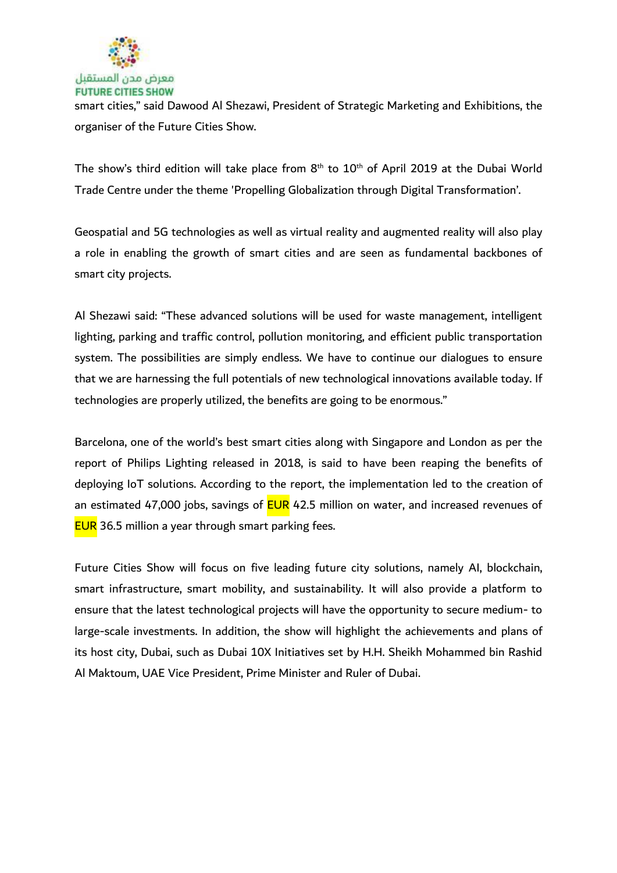

smart cities," said Dawood Al Shezawi, President of Strategic Marketing and Exhibitions, the organiser of the Future Cities Show.

The show's third edition will take place from  $8<sup>th</sup>$  to  $10<sup>th</sup>$  of April 2019 at the Dubai World Trade Centre under the theme 'Propelling Globalization through Digital Transformation'.

Geospatial and 5G technologies as well as virtual reality and augmented reality will also play a role in enabling the growth of smart cities and are seen as fundamental backbones of smart city projects.

Al Shezawi said: "These advanced solutions will be used for waste management, intelligent lighting, parking and traffic control, pollution monitoring, and efficient public transportation system. The possibilities are simply endless. We have to continue our dialogues to ensure that we are harnessing the full potentials of new technological innovations available today. If technologies are properly utilized, the benefits are going to be enormous."

Barcelona, one of the world's best smart cities along with Singapore and London as per the report of Philips Lighting released in 2018, is said to have been reaping the benefits of deploying IoT solutions. According to the report, the implementation led to the creation of an estimated 47,000 jobs, savings of **EUR** 42.5 million on water, and increased revenues of **EUR** 36.5 million a year through smart parking fees.

Future Cities Show will focus on five leading future city solutions, namely AI, blockchain, smart infrastructure, smart mobility, and sustainability. It will also provide a platform to ensure that the latest technological projects will have the opportunity to secure medium- to large-scale investments. In addition, the show will highlight the achievements and plans of its host city, Dubai, such as Dubai 10X Initiatives set by H.H. Sheikh Mohammed bin Rashid Al Maktoum, UAE Vice President, Prime Minister and Ruler of Dubai.